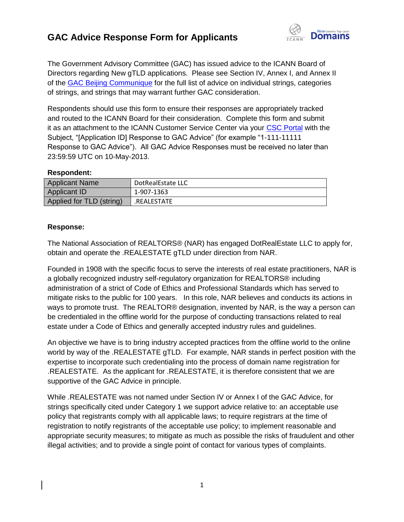## **GAC Advice Response Form for Applicants**



The Government Advisory Committee (GAC) has issued advice to the ICANN Board of Directors regarding New gTLD applications. Please see Section IV, Annex I, and Annex II of the [GAC Beijing Communique](http://www.icann.org/en/news/correspondence/gac-to-board-18apr13-en.pdf) for the full list of advice on individual strings, categories of strings, and strings that may warrant further GAC consideration.

Respondents should use this form to ensure their responses are appropriately tracked and routed to the ICANN Board for their consideration. Complete this form and submit it as an attachment to the ICANN Customer Service Center via your [CSC Portal](https://myicann.secure.force.com/) with the Subject, "[Application ID] Response to GAC Advice" (for example "1-111-11111 Response to GAC Advice"). All GAC Advice Responses must be received no later than 23:59:59 UTC on 10-May-2013.

## **Respondent:**

| <b>Applicant Name</b>    | DotRealEstate LLC |
|--------------------------|-------------------|
| Applicant ID             | 1-907-1363        |
| Applied for TLD (string) | .REALESTATE       |

## **Response:**

The National Association of REALTORS® (NAR) has engaged DotRealEstate LLC to apply for, obtain and operate the .REALESTATE gTLD under direction from NAR.

Founded in 1908 with the specific focus to serve the interests of real estate practitioners, NAR is a globally recognized industry self-regulatory organization for REALTORS® including administration of a strict of Code of Ethics and Professional Standards which has served to mitigate risks to the public for 100 years. In this role, NAR believes and conducts its actions in ways to promote trust. The REALTOR® designation, invented by NAR, is the way a person can be credentialed in the offline world for the purpose of conducting transactions related to real estate under a Code of Ethics and generally accepted industry rules and guidelines.

An objective we have is to bring industry accepted practices from the offline world to the online world by way of the .REALESTATE gTLD. For example, NAR stands in perfect position with the expertise to incorporate such credentialing into the process of domain name registration for .REALESTATE. As the applicant for .REALESTATE, it is therefore consistent that we are supportive of the GAC Advice in principle.

While .REALESTATE was not named under Section IV or Annex I of the GAC Advice, for strings specifically cited under Category 1 we support advice relative to: an acceptable use policy that registrants comply with all applicable laws; to require registrars at the time of registration to notify registrants of the acceptable use policy; to implement reasonable and appropriate security measures; to mitigate as much as possible the risks of fraudulent and other illegal activities; and to provide a single point of contact for various types of complaints.